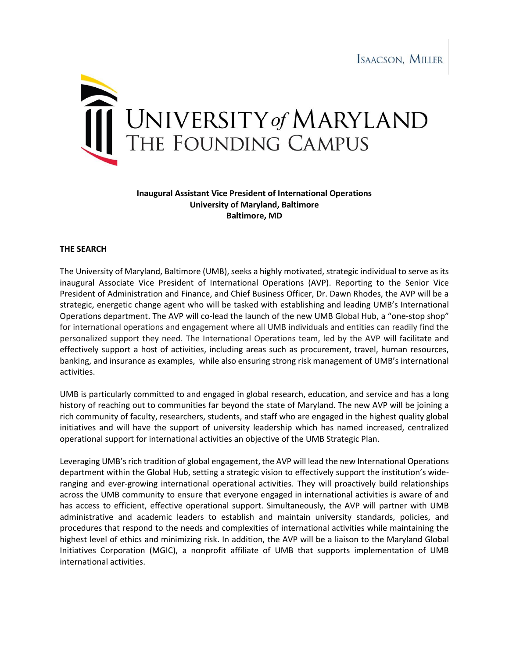

## **Inaugural Assistant Vice President of International Operations University of Maryland, Baltimore Baltimore, MD**

## **THE SEARCH**

The University of Maryland, Baltimore (UMB), seeks a highly motivated, strategic individual to serve as its inaugural Associate Vice President of International Operations (AVP). Reporting to the Senior Vice President of Administration and Finance, and Chief Business Officer, Dr. Dawn Rhodes, the AVP will be a strategic, energetic change agent who will be tasked with establishing and leading UMB's International Operations department. The AVP will co-lead the launch of the new UMB Global Hub, a "one-stop shop" for international operations and engagement where all UMB individuals and entities can readily find the personalized support they need. The International Operations team, led by the AVP will facilitate and effectively support a host of activities, including areas such as procurement, travel, human resources, banking, and insurance as examples, while also ensuring strong risk management of UMB's international activities.

UMB is particularly committed to and engaged in global research, education, and service and has a long history of reaching out to communities far beyond the state of Maryland. The new AVP will be joining a rich community of faculty, researchers, students, and staff who are engaged in the highest quality global initiatives and will have the support of university leadership which has named increased, centralized operational support for international activities an objective of the UMB Strategic Plan.

Leveraging UMB's rich tradition of global engagement, the AVP will lead the new International Operations department within the Global Hub, setting a strategic vision to effectively support the institution's wideranging and ever-growing international operational activities. They will proactively build relationships across the UMB community to ensure that everyone engaged in international activities is aware of and has access to efficient, effective operational support. Simultaneously, the AVP will partner with UMB administrative and academic leaders to establish and maintain university standards, policies, and procedures that respond to the needs and complexities of international activities while maintaining the highest level of ethics and minimizing risk. In addition, the AVP will be a liaison to the Maryland Global Initiatives Corporation (MGIC), a nonprofit affiliate of UMB that supports implementation of UMB international activities.